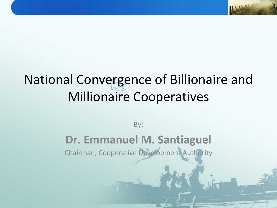## National Convergence of Billionaire and Millionaire Cooperatives

By:

#### **Dr. Emmanuel M. Santiaguel**

Chairman, Cooperative Development Authority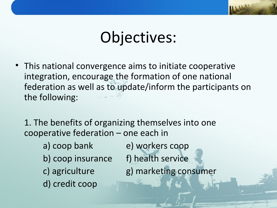# Objectives:

- This national convergence aims to initiate cooperative integration, encourage the formation of one national federation as well as to update/inform the participants on the following:
	- 1. The benefits of organizing themselves into one cooperative federation – one each in
		-
		- b) coop insurance f) health service
		-
		- d) credit coop
- a) coop bank e) workers coop
	-
- c) agriculture g) marketing consumer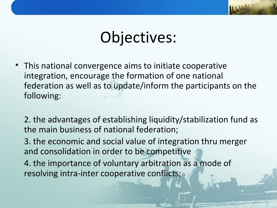# Objectives:

- This national convergence aims to initiate cooperative integration, encourage the formation of one national federation as well as to update/inform the participants on the following:
	- 2. the advantages of establishing liquidity/stabilization fund as the main business of national federation;
	- 3. the economic and social value of integration thru merger and consolidation in order to be competitive
	- 4. the importance of voluntary arbitration as a mode of resolving intra-inter cooperative conflicts;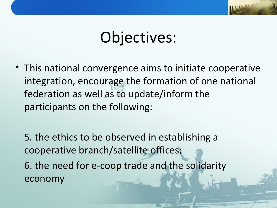# Objectives:

• This national convergence aims to initiate cooperative integration, encourage the formation of one national federation as well as to update/inform the participants on the following:

5. the ethics to be observed in establishing a cooperative branch/satellite offices;

6. the need for e-coop trade and the solidarity economy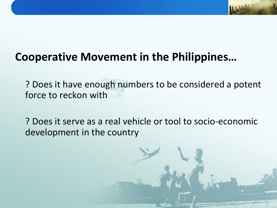#### **Cooperative Movement in the Philippines…**

? Does it have enough numbers to be considered a potent force to reckon with

? Does it serve as a real vehicle or tool to socio-economic development in the country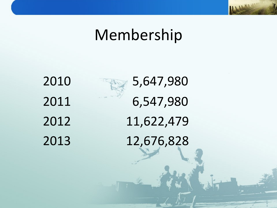## Membership



2010 5,647,980 2011 6,547,980 2012 11,622,479 2013 12,676,828 LLHOW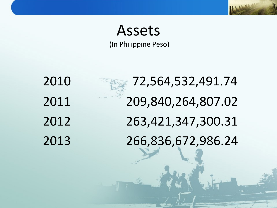## Assets

(In Philippine Peso)

2010 72,564,532,491.74 209,840,264,807.02 263,421,347,300.31 266,836,672,986.24

**ULLIANE**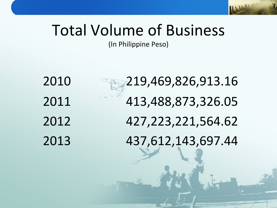## Total Volume of Business

(In Philippine Peso)

 219,469,826,913.16 413,488,873,326.05 427,223,221,564.62 437,612,143,697.44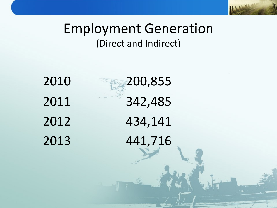#### Employment Generation (Direct and Indirect)

**LLARAN** 

2010 200,855 2011 342,485 2012 434,141 2013 441,716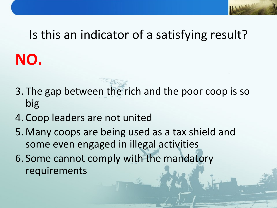# Is this an indicator of a satisfying result? **NO.**

- 3. The gap between the rich and the poor coop is so big
- 4. Coop leaders are not united
- 5. Many coops are being used as a tax shield and some even engaged in illegal activities
- 6. Some cannot comply with the mandatory requirements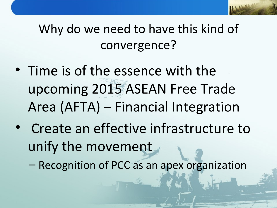## Why do we need to have this kind of convergence?

- Time is of the essence with the upcoming 2015 ASEAN Free Trade Area (AFTA) – Financial Integration
- Create an effective infrastructure to unify the movement

– Recognition of PCC as an apex organization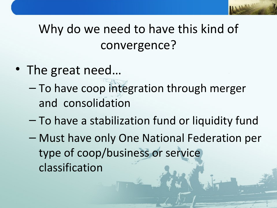## Why do we need to have this kind of convergence?

- The great need...
	- To have coop integration through merger and consolidation
	- To have a stabilization fund or liquidity fund
	- Must have only One National Federation per type of coop/business or service classification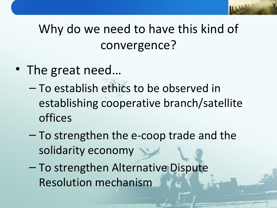## Why do we need to have this kind of convergence?

- The great need...
	- To establish ethics to be observed in establishing cooperative branch/satellite offices
	- To strengthen the e-coop trade and the solidarity economy
	- To strengthen Alternative Dispute Resolution mechanism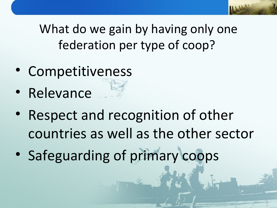What do we gain by having only one federation per type of coop?

- Competitiveness
- **Relevance**
- Respect and recognition of other countries as well as the other sector
- Safeguarding of primary coops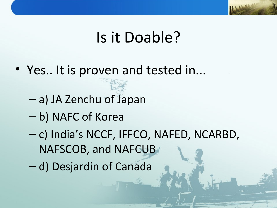## Is it Doable?

- Yes.. It is proven and tested in...
	- a) JA Zenchu of Japan
	- b) NAFC of Korea
	- c) India's NCCF, IFFCO, NAFED, NCARBD, NAFSCOB, and NAFCUB
	- d) Desjardin of Canada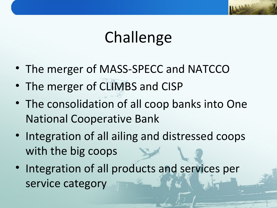# Challenge

- The merger of MASS-SPECC and NATCCO
- The merger of CLIMBS and CISP
- The consolidation of all coop banks into One National Cooperative Bank
- Integration of all ailing and distressed coops with the big coops
- Integration of all products and services per service category